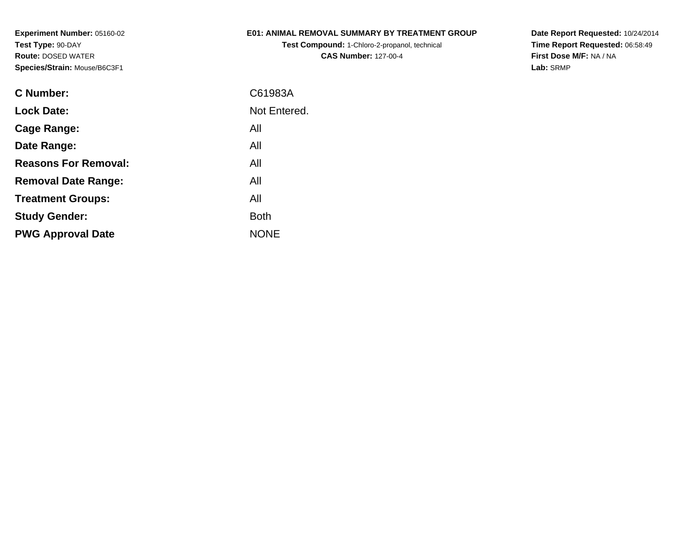# **E01: ANIMAL REMOVAL SUMMARY BY TREATMENT GROUP**

**Test Compound:** 1-Chloro-2-propanol, technical **CAS Number:** 127-00-4

**Date Report Requested:** 10/24/2014 **Time Report Requested:** 06:58:49**First Dose M/F:** NA / NA**Lab:** SRMP

| <b>C</b> Number:            | C61983A      |
|-----------------------------|--------------|
| <b>Lock Date:</b>           | Not Entered. |
| Cage Range:                 | All          |
| Date Range:                 | All          |
| <b>Reasons For Removal:</b> | All          |
| <b>Removal Date Range:</b>  | All          |
| <b>Treatment Groups:</b>    | All          |
| <b>Study Gender:</b>        | <b>Both</b>  |
| <b>PWG Approval Date</b>    | <b>NONE</b>  |
|                             |              |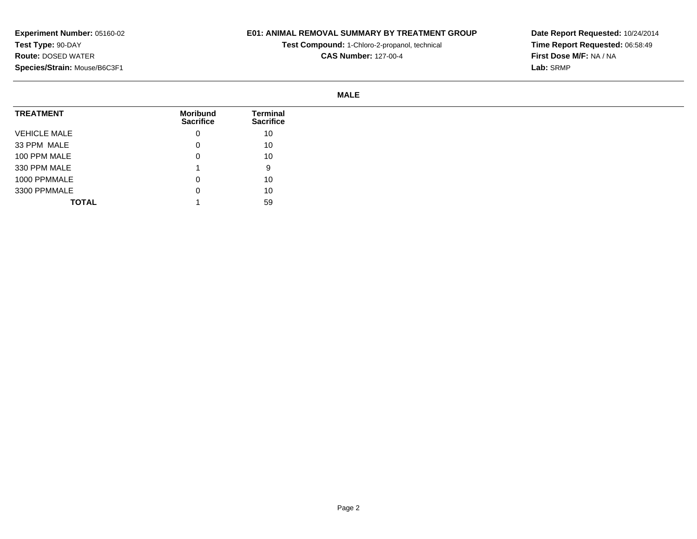# **E01: ANIMAL REMOVAL SUMMARY BY TREATMENT GROUP**

**Test Compound:** 1-Chloro-2-propanol, technical **CAS Number:** 127-00-4

**Date Report Requested:** 10/24/2014**Time Report Requested:** 06:58:49**First Dose M/F:** NA / NA**Lab:** SRMP

| <b>TREATMENT</b>    | <b>Moribund</b><br><b>Sacrifice</b> | <b>Terminal</b><br><b>Sacrifice</b> |
|---------------------|-------------------------------------|-------------------------------------|
| <b>VEHICLE MALE</b> | 0                                   | 10                                  |
| 33 PPM MALE         | 0                                   | 10                                  |
| 100 PPM MALE        | 0                                   | 10                                  |
| 330 PPM MALE        |                                     | 9                                   |
| 1000 PPMMALE        | 0                                   | 10                                  |
| 3300 PPMMALE        | 0                                   | 10                                  |
| <b>TOTAL</b>        |                                     | 59                                  |

**Experiment Number:** 05160-02**Test Type:** 90-DAY **Route:** DOSED WATER**Species/Strain:** Mouse/B6C3F1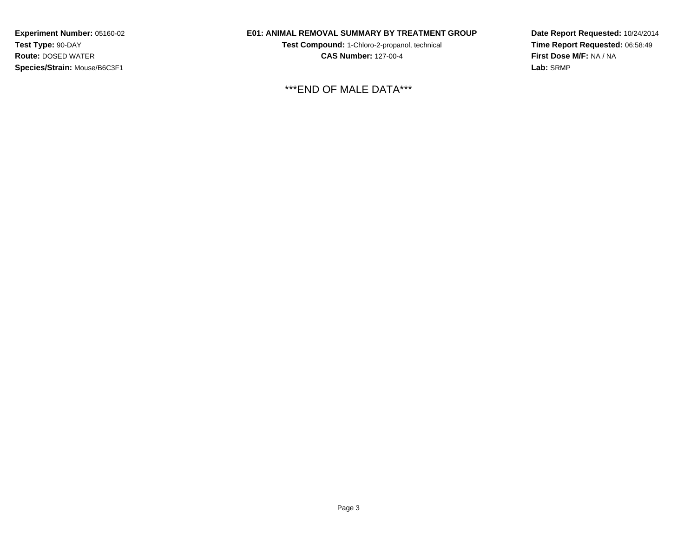# **E01: ANIMAL REMOVAL SUMMARY BY TREATMENT GROUP**

**Test Compound:** 1-Chloro-2-propanol, technical **CAS Number:** 127-00-4

\*\*\*END OF MALE DATA\*\*\*

**Date Report Requested:** 10/24/2014**Time Report Requested:** 06:58:49**First Dose M/F:** NA / NA**Lab:** SRMP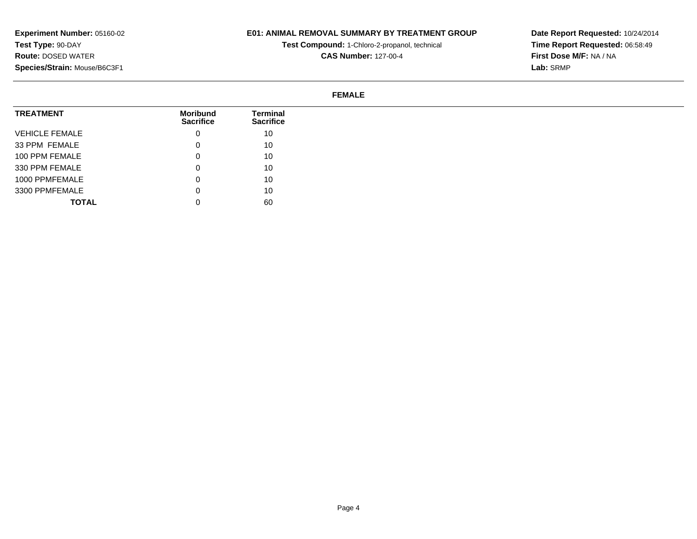# **E01: ANIMAL REMOVAL SUMMARY BY TREATMENT GROUP**

**Test Compound:** 1-Chloro-2-propanol, technical **CAS Number:** 127-00-4

**Date Report Requested:** 10/24/2014**Time Report Requested:** 06:58:49**First Dose M/F:** NA / NA**Lab:** SRMP

#### **FEMALE**

| <b>TREATMENT</b>      | Moribund<br><b>Sacrifice</b> | <b>Terminal</b><br><b>Sacrifice</b> |
|-----------------------|------------------------------|-------------------------------------|
| <b>VEHICLE FEMALE</b> | 0                            | 10                                  |
| 33 PPM FEMALE         | 0                            | 10                                  |
| 100 PPM FEMALE        | 0                            | 10                                  |
| 330 PPM FEMALE        | 0                            | 10                                  |
| 1000 PPMFEMALE        | 0                            | 10                                  |
| 3300 PPMFEMALE        | 0                            | 10                                  |
| <b>TOTAL</b>          |                              | 60                                  |